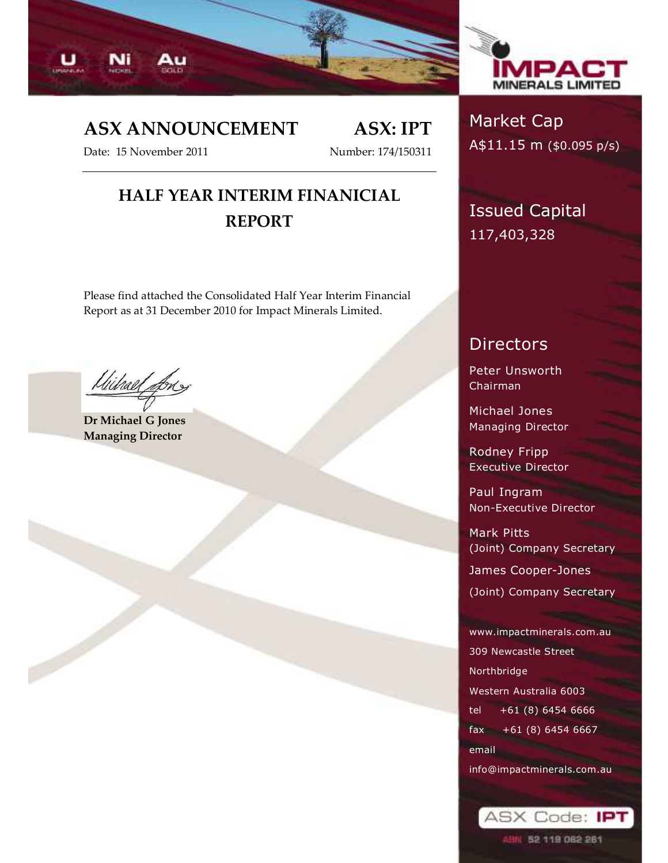



# ASX ANNOUNCEMENT ASX: IPT

Date: 15 November 2011 Number: 174/150311

# HALF YEAR INTERIM FINANICIAL REPORT

Please find attached the Consolidated Half Year Interim Financial Report as at 31 December 2010 for Impact Minerals Limited.

Wilrael Long

Dr Michael G Jones Managing Director

# Market Cap A\$11.15 m (\$0.095 p/s)

Issued Capital 117,403,328

# Directors

Peter Unsworth Chairman

Michael Jones Managing Director

Rodney Fripp Executive Director

Paul Ingram Non-Executive Director

Mark Pitts (Joint) Company Secretar

James Cooper-Jones

(Joint) Company Secretary

www.impactminerals.com.au 309 Newcastle Street Northbridge Western Australia 6003 tel +61 (8) 6454 6666 fax +61 (8) 6454 6667 email info@impactminerals.com.au

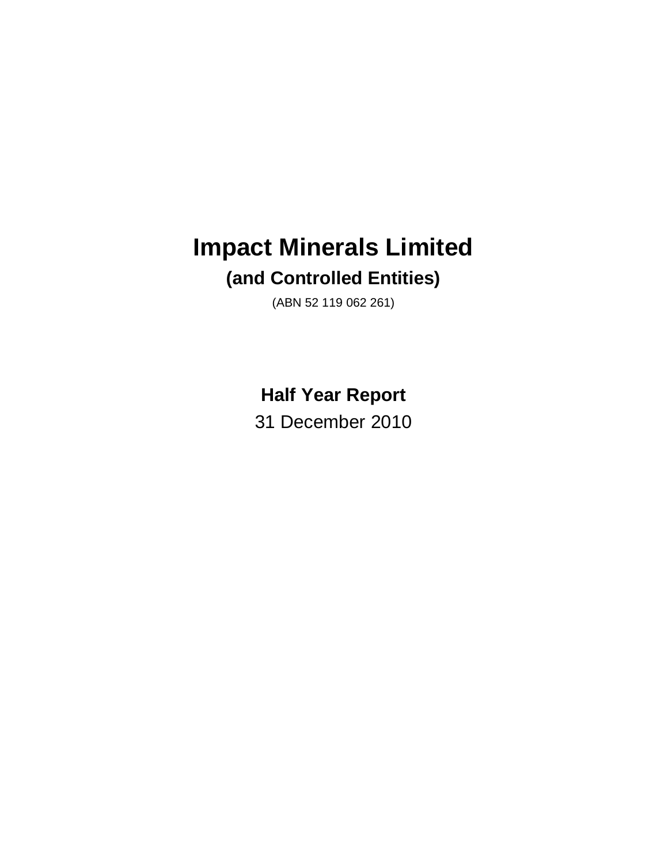# **Impact Minerals Limited (and Controlled Entities)**

(ABN 52 119 062 261)

# **Half Year Report**

31 December 2010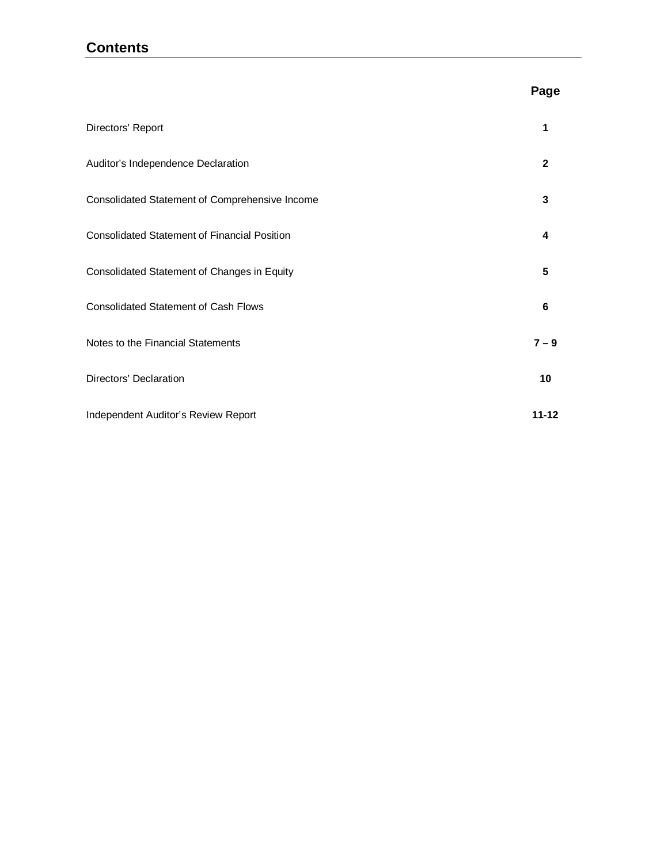### **Contents**

### **Page**

| Directors' Report                                   | 1            |
|-----------------------------------------------------|--------------|
| Auditor's Independence Declaration                  | $\mathbf{2}$ |
| Consolidated Statement of Comprehensive Income      | 3            |
| <b>Consolidated Statement of Financial Position</b> | 4            |
| Consolidated Statement of Changes in Equity         | 5            |
| <b>Consolidated Statement of Cash Flows</b>         | 6            |
| Notes to the Financial Statements                   | $7 - 9$      |
| Directors' Declaration                              | 10           |
| Independent Auditor's Review Report                 | $11 - 12$    |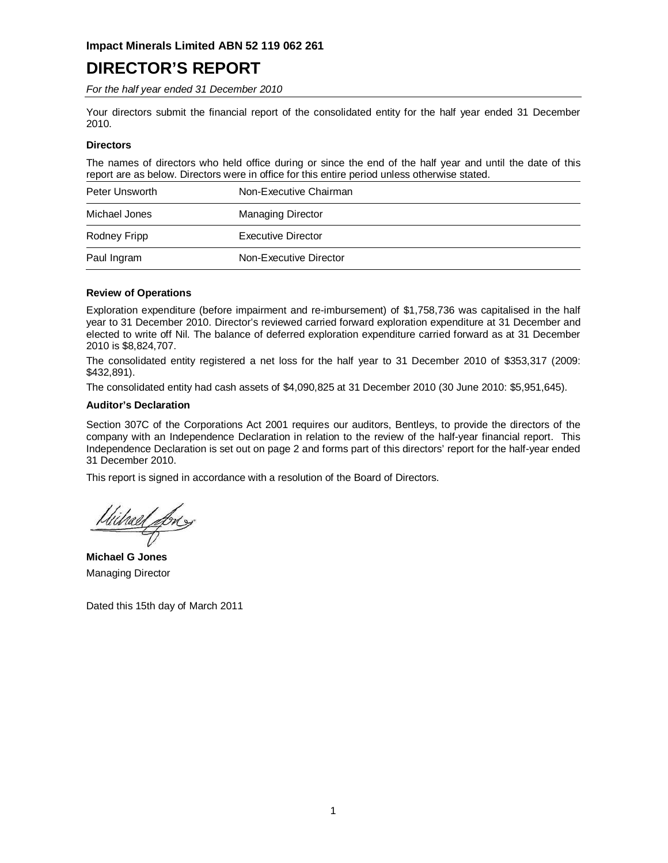# **DIRECTOR'S REPORT**

For the half year ended 31 December 2010

Your directors submit the financial report of the consolidated entity for the half year ended 31 December 2010.

#### **Directors**

The names of directors who held office during or since the end of the half year and until the date of this report are as below. Directors were in office for this entire period unless otherwise stated.

| Peter Unsworth | Non-Executive Chairman   |
|----------------|--------------------------|
| Michael Jones  | <b>Managing Director</b> |
| Rodney Fripp   | Executive Director       |
| Paul Ingram    | Non-Executive Director   |

#### **Review of Operations**

Exploration expenditure (before impairment and re-imbursement) of \$1,758,736 was capitalised in the half year to 31 December 2010. Director's reviewed carried forward exploration expenditure at 31 December and elected to write off Nil. The balance of deferred exploration expenditure carried forward as at 31 December 2010 is \$8,824,707.

The consolidated entity registered a net loss for the half year to 31 December 2010 of \$353,317 (2009: \$432,891).

The consolidated entity had cash assets of \$4,090,825 at 31 December 2010 (30 June 2010: \$5,951,645).

#### **Auditor's Declaration**

Section 307C of the Corporations Act 2001 requires our auditors, Bentleys, to provide the directors of the company with an Independence Declaration in relation to the review of the half-year financial report. This Independence Declaration is set out on page 2 and forms part of this directors' report for the half-year ended 31 December 2010.

This report is signed in accordance with a resolution of the Board of Directors.

Uitrael for

**Michael G Jones**  Managing Director

Dated this 15th day of March 2011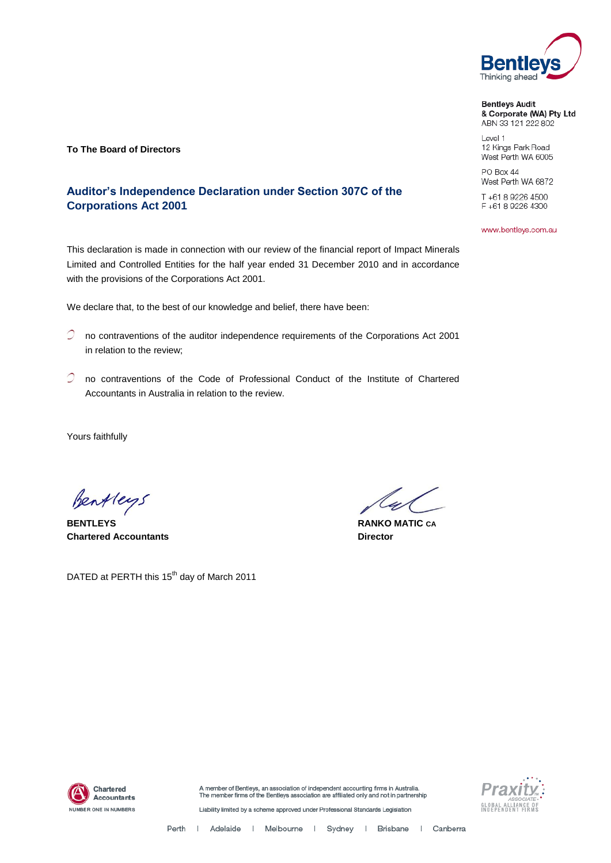

**Bentleys Audit** & Corporate (WA) Pty Ltd ABN 33 121 222 802

Level 1 12 Kings Park Road West Perth WA 6005

PO Box 44 West Perth WA 6872

T+61892264500 F+61892264300

www.bentleys.com.au

**To The Board of Directors**

### **Auditor's Independence Declaration under Section 307C of the Corporations Act 2001**

This declaration is made in connection with our review of the financial report of Impact Minerals Limited and Controlled Entities for the half year ended 31 December 2010 and in accordance with the provisions of the Corporations Act 2001.

We declare that, to the best of our knowledge and belief, there have been:

- no contraventions of the auditor independence requirements of the Corporations Act 2001 in relation to the review;
- $\mathcal O$  no contraventions of the Code of Professional Conduct of the Institute of Chartered Accountants in Australia in relation to the review.

Yours faithfully

Bentleys

**BENTLEYS RANKO MATIC CA Chartered Accountants Director**

DATED at PERTH this 15<sup>th</sup> day of March 2011

4



A member of Bentleys, an association of independent accounting firms in Australia.<br>The member firms of the Bentleys association are affiliated only and not in partnership



Liability limited by a scheme approved under Professional Standards Legislation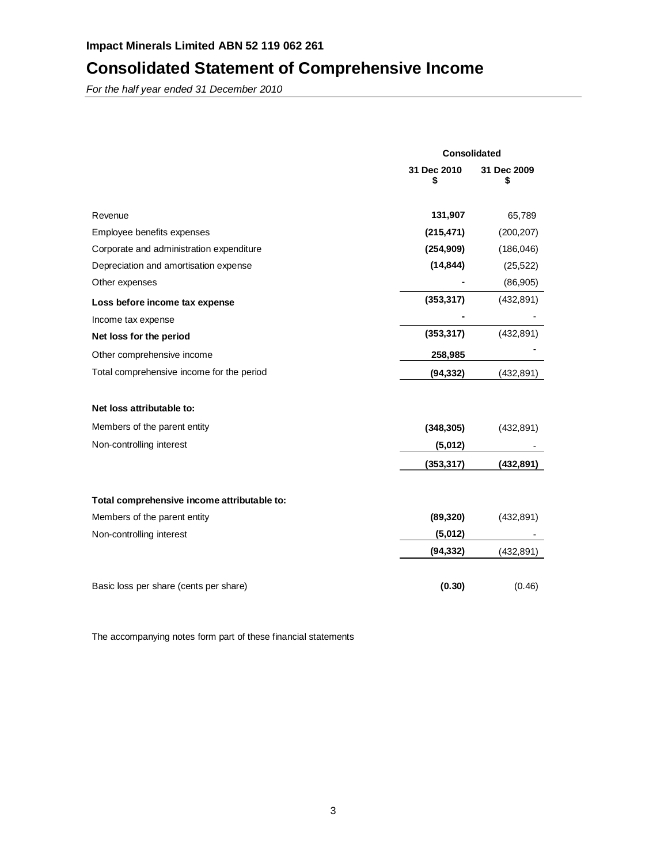# **Consolidated Statement of Comprehensive Income**

For the half year ended 31 December 2010

|                                             | <b>Consolidated</b> |                   |  |
|---------------------------------------------|---------------------|-------------------|--|
|                                             | 31 Dec 2010<br>\$   | 31 Dec 2009<br>\$ |  |
| Revenue                                     | 131,907             | 65,789            |  |
| Employee benefits expenses                  | (215, 471)          | (200, 207)        |  |
| Corporate and administration expenditure    | (254, 909)          | (186, 046)        |  |
| Depreciation and amortisation expense       | (14, 844)           | (25, 522)         |  |
| Other expenses                              |                     | (86, 905)         |  |
| Loss before income tax expense              | (353, 317)          | (432, 891)        |  |
| Income tax expense                          |                     |                   |  |
| Net loss for the period                     | (353, 317)          | (432, 891)        |  |
| Other comprehensive income                  | 258,985             |                   |  |
| Total comprehensive income for the period   | (94, 332)           | (432, 891)        |  |
| Net loss attributable to:                   |                     |                   |  |
| Members of the parent entity                | (348, 305)          | (432, 891)        |  |
| Non-controlling interest                    | (5,012)             |                   |  |
|                                             | (353, 317)          | (432, 891)        |  |
| Total comprehensive income attributable to: |                     |                   |  |
| Members of the parent entity                | (89, 320)           | (432, 891)        |  |
| Non-controlling interest                    | (5,012)             |                   |  |
|                                             | (94,332)            | (432, 891)        |  |
| Basic loss per share (cents per share)      | (0.30)              | (0.46)            |  |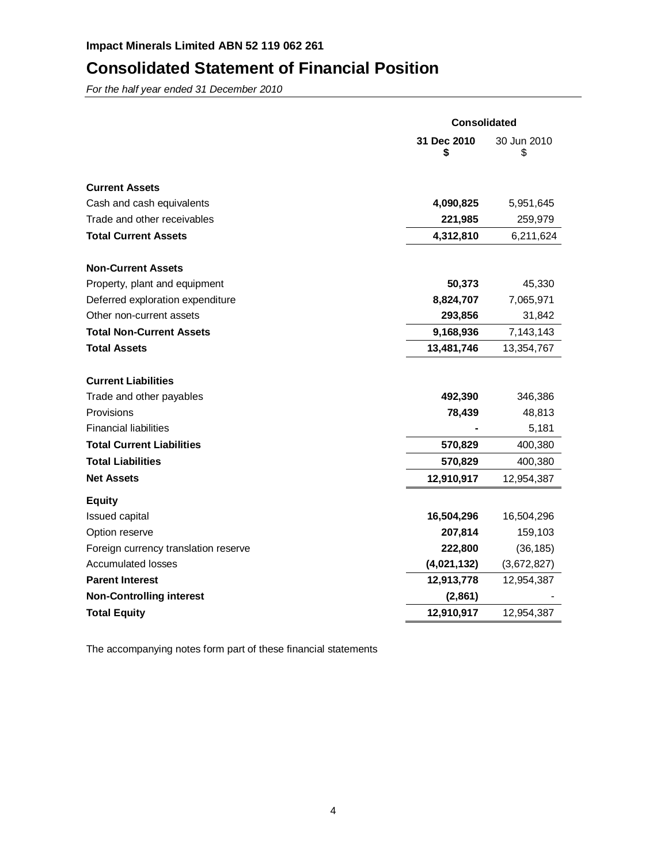## **Consolidated Statement of Financial Position**

For the half year ended 31 December 2010

|                                      | <b>Consolidated</b> |                   |  |
|--------------------------------------|---------------------|-------------------|--|
|                                      | 31 Dec 2010<br>\$   | 30 Jun 2010<br>\$ |  |
| <b>Current Assets</b>                |                     |                   |  |
| Cash and cash equivalents            | 4,090,825           | 5,951,645         |  |
| Trade and other receivables          | 221,985             | 259,979           |  |
| <b>Total Current Assets</b>          | 4,312,810           | 6,211,624         |  |
| <b>Non-Current Assets</b>            |                     |                   |  |
| Property, plant and equipment        | 50,373              | 45,330            |  |
| Deferred exploration expenditure     | 8,824,707           | 7,065,971         |  |
| Other non-current assets             | 293,856             | 31,842            |  |
| <b>Total Non-Current Assets</b>      | 9,168,936           | 7,143,143         |  |
| <b>Total Assets</b>                  | 13,481,746          | 13,354,767        |  |
| <b>Current Liabilities</b>           |                     |                   |  |
| Trade and other payables             | 492,390             | 346,386           |  |
| Provisions                           | 78,439              | 48,813            |  |
| <b>Financial liabilities</b>         |                     | 5,181             |  |
| <b>Total Current Liabilities</b>     | 570,829             | 400,380           |  |
| <b>Total Liabilities</b>             | 570,829             | 400,380           |  |
| <b>Net Assets</b>                    | 12,910,917          | 12,954,387        |  |
| <b>Equity</b>                        |                     |                   |  |
| Issued capital                       | 16,504,296          | 16,504,296        |  |
| Option reserve                       | 207,814             | 159,103           |  |
| Foreign currency translation reserve | 222,800             | (36, 185)         |  |
| <b>Accumulated losses</b>            | (4,021,132)         | (3,672,827)       |  |
| <b>Parent Interest</b>               | 12,913,778          | 12,954,387        |  |
| <b>Non-Controlling interest</b>      | (2,861)             |                   |  |
| <b>Total Equity</b>                  | 12,910,917          | 12,954,387        |  |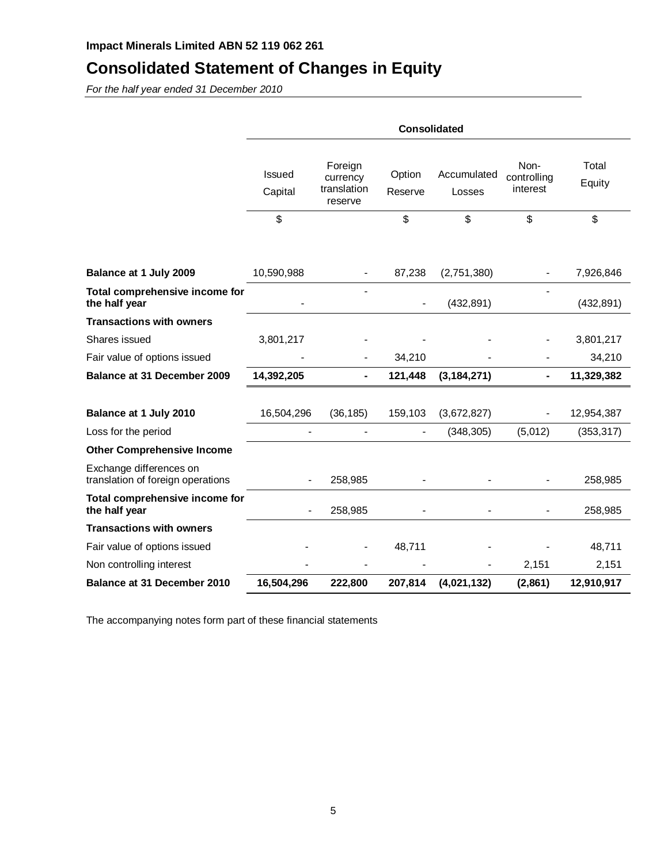# **Consolidated Statement of Changes in Equity**

For the half year ended 31 December 2010

|                                                              | <b>Consolidated</b> |                                               |                   |                       |                                 |                 |
|--------------------------------------------------------------|---------------------|-----------------------------------------------|-------------------|-----------------------|---------------------------------|-----------------|
|                                                              | Issued<br>Capital   | Foreign<br>currency<br>translation<br>reserve | Option<br>Reserve | Accumulated<br>Losses | Non-<br>controlling<br>interest | Total<br>Equity |
|                                                              | \$                  |                                               | \$                | \$                    | \$                              | \$              |
|                                                              |                     |                                               |                   |                       |                                 |                 |
| Balance at 1 July 2009                                       | 10,590,988          |                                               | 87,238            | (2,751,380)           |                                 | 7,926,846       |
| Total comprehensive income for<br>the half year              |                     |                                               |                   | (432, 891)            |                                 | (432, 891)      |
| <b>Transactions with owners</b>                              |                     |                                               |                   |                       |                                 |                 |
| Shares issued                                                | 3,801,217           |                                               |                   |                       |                                 | 3,801,217       |
| Fair value of options issued                                 |                     |                                               | 34,210            |                       |                                 | 34,210          |
| <b>Balance at 31 December 2009</b>                           | 14,392,205          | ۰                                             | 121,448           | (3, 184, 271)         | ۰                               | 11,329,382      |
|                                                              |                     |                                               |                   |                       |                                 |                 |
| Balance at 1 July 2010                                       | 16,504,296          | (36, 185)                                     | 159,103           | (3,672,827)           |                                 | 12,954,387      |
| Loss for the period                                          |                     |                                               | $\blacksquare$    | (348, 305)            | (5,012)                         | (353, 317)      |
| <b>Other Comprehensive Income</b>                            |                     |                                               |                   |                       |                                 |                 |
| Exchange differences on<br>translation of foreign operations |                     | 258,985                                       |                   |                       |                                 | 258,985         |
| Total comprehensive income for<br>the half year              |                     | 258,985                                       |                   |                       | $\overline{\phantom{a}}$        | 258,985         |
| <b>Transactions with owners</b>                              |                     |                                               |                   |                       |                                 |                 |
| Fair value of options issued                                 |                     |                                               | 48,711            |                       |                                 | 48,711          |
| Non controlling interest                                     |                     |                                               |                   |                       | 2,151                           | 2,151           |
| Balance at 31 December 2010                                  | 16,504,296          | 222,800                                       | 207,814           | (4,021,132)           | (2,861)                         | 12,910,917      |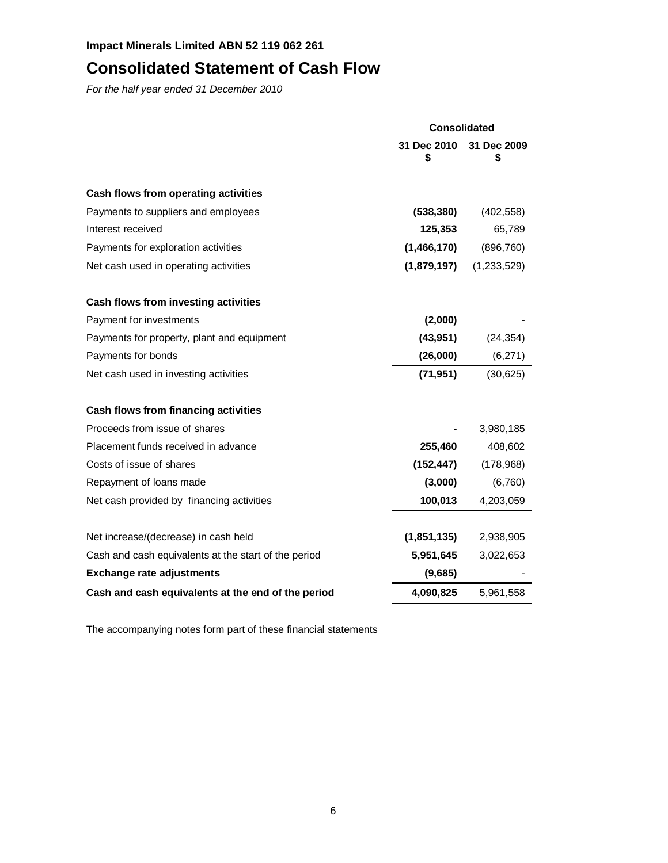# **Consolidated Statement of Cash Flow**

For the half year ended 31 December 2010

|                                                      | <b>Consolidated</b> |                   |  |
|------------------------------------------------------|---------------------|-------------------|--|
|                                                      | 31 Dec 2010<br>S    | 31 Dec 2009<br>\$ |  |
| Cash flows from operating activities                 |                     |                   |  |
| Payments to suppliers and employees                  | (538, 380)          | (402, 558)        |  |
| Interest received                                    | 125,353             | 65,789            |  |
| Payments for exploration activities                  | (1,466,170)         | (896, 760)        |  |
| Net cash used in operating activities                | (1,879,197)         | (1,233,529)       |  |
| Cash flows from investing activities                 |                     |                   |  |
| Payment for investments                              | (2,000)             |                   |  |
| Payments for property, plant and equipment           | (43, 951)           | (24, 354)         |  |
| Payments for bonds                                   | (26,000)            | (6,271)           |  |
| Net cash used in investing activities                | (71, 951)           | (30, 625)         |  |
| Cash flows from financing activities                 |                     |                   |  |
| Proceeds from issue of shares                        |                     | 3,980,185         |  |
| Placement funds received in advance                  | 255,460             | 408,602           |  |
| Costs of issue of shares                             | (152, 447)          | (178,968)         |  |
| Repayment of loans made                              | (3,000)             | (6,760)           |  |
| Net cash provided by financing activities            | 100,013             | 4,203,059         |  |
| Net increase/(decrease) in cash held                 | (1,851,135)         | 2,938,905         |  |
| Cash and cash equivalents at the start of the period | 5,951,645           | 3,022,653         |  |
| <b>Exchange rate adjustments</b>                     | (9,685)             |                   |  |
| Cash and cash equivalents at the end of the period   | 4,090,825           | 5,961,558         |  |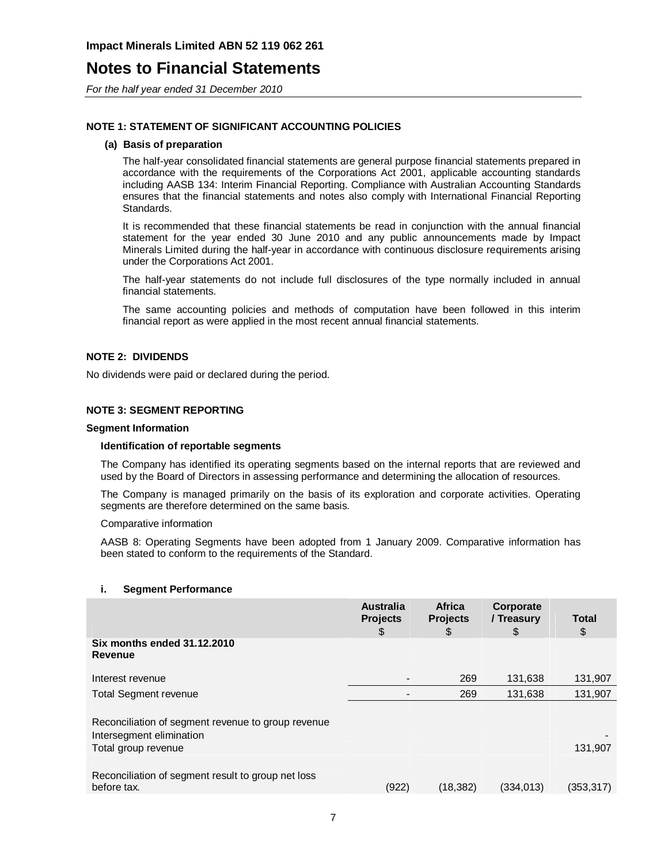## **Notes to Financial Statements**

For the half year ended 31 December 2010

#### **NOTE 1: STATEMENT OF SIGNIFICANT ACCOUNTING POLICIES**

#### **(a) Basis of preparation**

The half-year consolidated financial statements are general purpose financial statements prepared in accordance with the requirements of the Corporations Act 2001, applicable accounting standards including AASB 134: Interim Financial Reporting. Compliance with Australian Accounting Standards ensures that the financial statements and notes also comply with International Financial Reporting Standards.

It is recommended that these financial statements be read in conjunction with the annual financial statement for the year ended 30 June 2010 and any public announcements made by Impact Minerals Limited during the half-year in accordance with continuous disclosure requirements arising under the Corporations Act 2001.

The half-year statements do not include full disclosures of the type normally included in annual financial statements.

The same accounting policies and methods of computation have been followed in this interim financial report as were applied in the most recent annual financial statements.

#### **NOTE 2: DIVIDENDS**

No dividends were paid or declared during the period.

#### **NOTE 3: SEGMENT REPORTING**

#### **Segment Information**

#### **Identification of reportable segments**

The Company has identified its operating segments based on the internal reports that are reviewed and used by the Board of Directors in assessing performance and determining the allocation of resources.

The Company is managed primarily on the basis of its exploration and corporate activities. Operating segments are therefore determined on the same basis.

#### Comparative information

AASB 8: Operating Segments have been adopted from 1 January 2009. Comparative information has been stated to conform to the requirements of the Standard.

#### **i. Segment Performance**

|                                                                                | <b>Australia</b><br><b>Projects</b><br>\$ | <b>Africa</b><br><b>Projects</b><br>\$ | Corporate<br>/ Treasury<br>\$ | <b>Total</b><br>\$ |
|--------------------------------------------------------------------------------|-------------------------------------------|----------------------------------------|-------------------------------|--------------------|
| Six months ended 31.12.2010<br>Revenue                                         |                                           |                                        |                               |                    |
| Interest revenue                                                               |                                           | 269                                    | 131,638                       | 131,907            |
| <b>Total Segment revenue</b>                                                   |                                           | 269                                    | 131,638                       | 131,907            |
| Reconciliation of segment revenue to group revenue<br>Intersegment elimination |                                           |                                        |                               |                    |
| Total group revenue                                                            |                                           |                                        |                               | 131,907            |
|                                                                                |                                           |                                        |                               |                    |
| Reconciliation of segment result to group net loss<br>before tax.              | (922)                                     | (18, 382)                              | (334, 013)                    | (353, 317)         |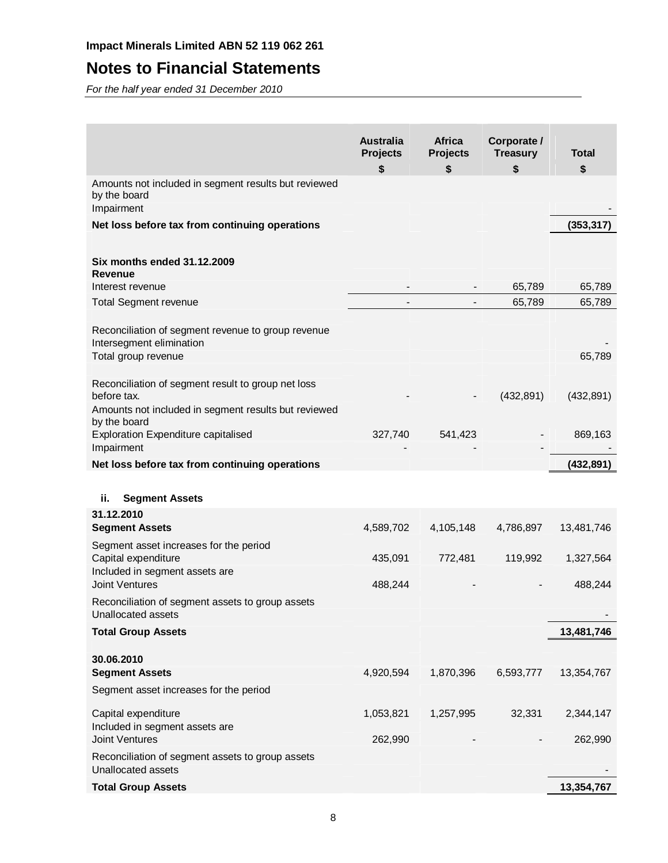# **Notes to Financial Statements**

For the half year ended 31 December 2010

|                                                                                                       | <b>Australia</b><br><b>Projects</b> | <b>Africa</b><br><b>Projects</b> | Corporate /<br><b>Treasury</b> | <b>Total</b> |
|-------------------------------------------------------------------------------------------------------|-------------------------------------|----------------------------------|--------------------------------|--------------|
|                                                                                                       | \$                                  | \$                               | \$                             | \$           |
| Amounts not included in segment results but reviewed<br>by the board<br>Impairment                    |                                     |                                  |                                |              |
| Net loss before tax from continuing operations                                                        |                                     |                                  |                                | (353, 317)   |
|                                                                                                       |                                     |                                  |                                |              |
| Six months ended 31.12.2009<br>Revenue                                                                |                                     |                                  |                                |              |
| Interest revenue                                                                                      |                                     |                                  | 65,789                         | 65,789       |
| <b>Total Segment revenue</b>                                                                          |                                     |                                  | 65,789                         | 65,789       |
| Reconciliation of segment revenue to group revenue<br>Intersegment elimination<br>Total group revenue |                                     |                                  |                                | 65,789       |
| Reconciliation of segment result to group net loss<br>before tax.                                     |                                     |                                  | (432, 891)                     | (432, 891)   |
| Amounts not included in segment results but reviewed<br>by the board                                  |                                     |                                  |                                |              |
| <b>Exploration Expenditure capitalised</b><br>Impairment                                              | 327,740                             | 541,423                          |                                | 869,163      |
| Net loss before tax from continuing operations                                                        |                                     |                                  |                                | (432, 891)   |
|                                                                                                       |                                     |                                  |                                |              |
| ii.<br><b>Segment Assets</b>                                                                          |                                     |                                  |                                |              |
| 31.12.2010                                                                                            |                                     |                                  |                                |              |
| <b>Segment Assets</b>                                                                                 | 4,589,702                           | 4,105,148                        | 4,786,897                      | 13,481,746   |
| Segment asset increases for the period<br>Capital expenditure                                         | 435,091                             | 772,481                          | 119,992                        | 1,327,564    |
| Included in segment assets are<br><b>Joint Ventures</b>                                               | 488,244                             |                                  |                                | 488,244      |
| Reconciliation of segment assets to group assets<br>Unallocated assets                                |                                     |                                  |                                |              |
| <b>Total Group Assets</b>                                                                             |                                     |                                  |                                | 13,481,746   |
|                                                                                                       |                                     |                                  |                                |              |
| 30.06.2010<br><b>Segment Assets</b>                                                                   | 4,920,594                           | 1,870,396                        | 6,593,777                      | 13,354,767   |
| Segment asset increases for the period                                                                |                                     |                                  |                                |              |
| Capital expenditure<br>Included in segment assets are                                                 | 1,053,821                           | 1,257,995                        | 32,331                         | 2,344,147    |
| <b>Joint Ventures</b>                                                                                 | 262,990                             |                                  |                                | 262,990      |
| Reconciliation of segment assets to group assets<br>Unallocated assets                                |                                     |                                  |                                |              |
| <b>Total Group Assets</b>                                                                             |                                     |                                  |                                | 13,354,767   |
|                                                                                                       |                                     |                                  |                                |              |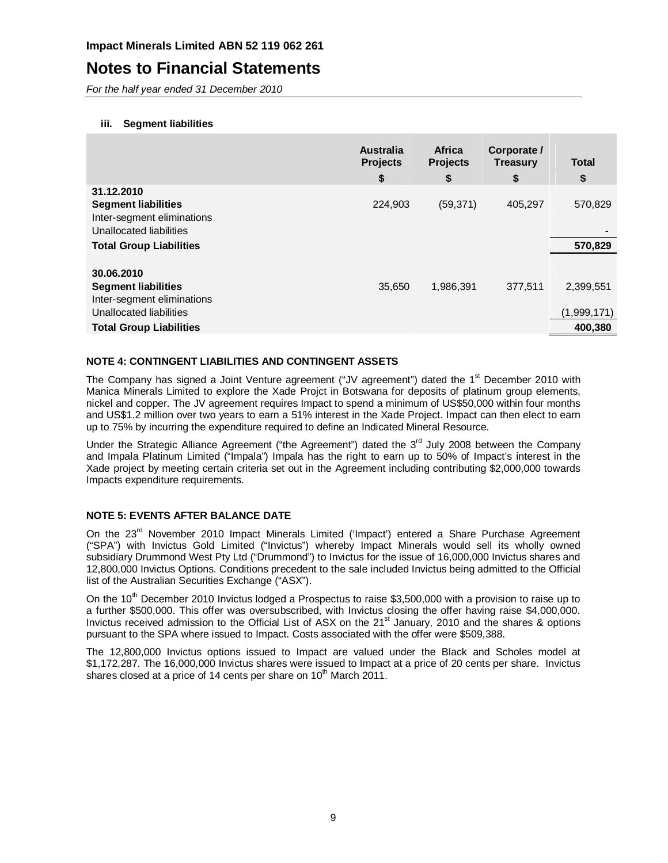### **Notes to Financial Statements**

For the half year ended 31 December 2010

#### **iii. Segment liabilities**

|                                | <b>Australia</b><br><b>Projects</b><br>\$ | Africa<br><b>Projects</b><br>\$ | Corporate /<br><b>Treasury</b><br>\$ | <b>Total</b><br>\$ |
|--------------------------------|-------------------------------------------|---------------------------------|--------------------------------------|--------------------|
| 31.12.2010                     |                                           |                                 |                                      |                    |
| <b>Segment liabilities</b>     | 224,903                                   | (59, 371)                       | 405,297                              | 570,829            |
| Inter-segment eliminations     |                                           |                                 |                                      |                    |
| Unallocated liabilities        |                                           |                                 |                                      |                    |
| <b>Total Group Liabilities</b> |                                           |                                 |                                      | 570,829            |
|                                |                                           |                                 |                                      |                    |
| 30.06.2010                     |                                           |                                 |                                      |                    |
| <b>Segment liabilities</b>     | 35.650                                    | 1,986,391                       | 377.511                              | 2,399,551          |
| Inter-segment eliminations     |                                           |                                 |                                      |                    |
| Unallocated liabilities        |                                           |                                 |                                      | (1,999,171)        |
| <b>Total Group Liabilities</b> |                                           |                                 |                                      | 400.380            |

#### **NOTE 4: CONTINGENT LIABILITIES AND CONTINGENT ASSETS**

The Company has signed a Joint Venture agreement ("JV agreement") dated the 1<sup>st</sup> December 2010 with Manica Minerals Limited to explore the Xade Projct in Botswana for deposits of platinum group elements, nickel and copper. The JV agreement requires Impact to spend a minimum of US\$50,000 within four months and US\$1.2 million over two years to earn a 51% interest in the Xade Project. Impact can then elect to earn up to 75% by incurring the expenditure required to define an Indicated Mineral Resource.

Under the Strategic Alliance Agreement ("the Agreement") dated the 3<sup>rd</sup> July 2008 between the Company and Impala Platinum Limited ("Impala") Impala has the right to earn up to 50% of Impact's interest in the Xade project by meeting certain criteria set out in the Agreement including contributing \$2,000,000 towards Impacts expenditure requirements.

#### **NOTE 5: EVENTS AFTER BALANCE DATE**

On the 23<sup>rd</sup> November 2010 Impact Minerals Limited ('Impact') entered a Share Purchase Agreement ("SPA") with Invictus Gold Limited ("Invictus") whereby Impact Minerals would sell its wholly owned subsidiary Drummond West Pty Ltd ("Drummond") to Invictus for the issue of 16,000,000 Invictus shares and 12,800,000 Invictus Options. Conditions precedent to the sale included Invictus being admitted to the Official list of the Australian Securities Exchange ("ASX").

On the 10<sup>th</sup> December 2010 Invictus lodged a Prospectus to raise \$3,500,000 with a provision to raise up to a further \$500,000. This offer was oversubscribed, with Invictus closing the offer having raise \$4,000,000. Invictus received admission to the Official List of ASX on the 21<sup>st</sup> January, 2010 and the shares & options pursuant to the SPA where issued to Impact. Costs associated with the offer were \$509,388.

The 12,800,000 Invictus options issued to Impact are valued under the Black and Scholes model at \$1,172,287. The 16,000,000 Invictus shares were issued to Impact at a price of 20 cents per share. Invictus shares closed at a price of 14 cents per share on 10<sup>th</sup> March 2011.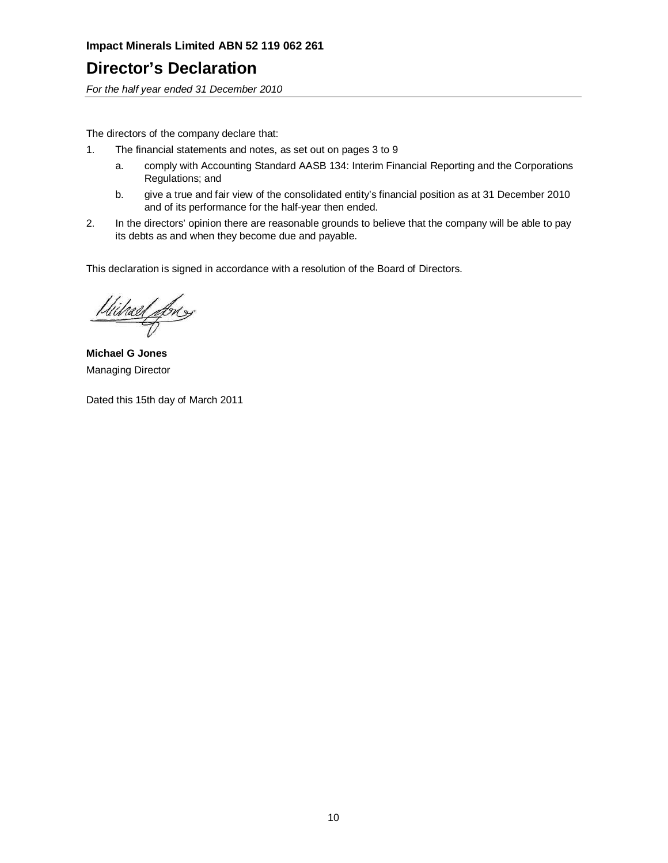## **Director's Declaration**

For the half year ended 31 December 2010

The directors of the company declare that:

- 1. The financial statements and notes, as set out on pages 3 to 9
	- a. comply with Accounting Standard AASB 134: Interim Financial Reporting and the Corporations Regulations; and
	- b. give a true and fair view of the consolidated entity's financial position as at 31 December 2010 and of its performance for the half-year then ended.
- 2. In the directors' opinion there are reasonable grounds to believe that the company will be able to pay its debts as and when they become due and payable.

This declaration is signed in accordance with a resolution of the Board of Directors.

Wilrael fores

**Michael G Jones**  Managing Director

Dated this 15th day of March 2011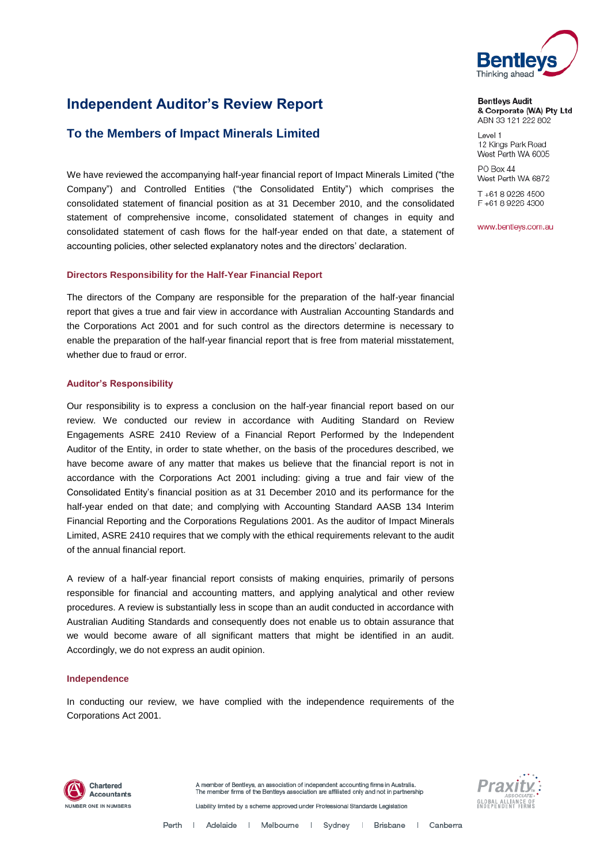

& Corporate (WA) Pty Ltd ABN 33 121 222 802

### **Independent Auditor's Review Report**

### **To the Members of Impact Minerals Limited**

We have reviewed the accompanying half-year financial report o[f Impact Minerals Limited](#page--1-0) ("the Company") and Controlled Entities ("the Consolidated Entity") which comprises the consolidated statement of financial position as at 31 December 2010, and the consolidated statement of comprehensive income, consolidated statement of changes in equity and consolidated statement of cash flows for the half-year ended on that date, a statement of accounting policies, other selected explanatory notes and the directors' declaration.

#### **Directors Responsibility for the Half-Year Financial Report**

The directors of the Company are responsible for the preparation of the half-year financial report that gives a true and fair view in accordance with Australian Accounting Standards and the Corporations Act 2001 and for such control as the directors determine is necessary to enable the preparation of the half-year financial report that is free from material misstatement, whether due to fraud or error.

#### **Auditor's Responsibility**

Our responsibility is to express a conclusion on the half-year financial report based on our review. We conducted our review in accordance with Auditing Standard on Review Engagements ASRE 2410 Review of a Financial Report Performed by the Independent Auditor of the Entity, in order to state whether, on the basis of the procedures described, we have become aware of any matter that makes us believe that the financial report is not in accordance with the Corporations Act 2001 including: giving a true and fair view of the Consolidated Entity's financial position as at 31 December 2010 and its performance for the half-year ended on that date; and complying with Accounting Standard AASB 134 Interim Financial Reporting and the Corporations Regulations 2001. As the auditor of [Impact Minerals](#page--1-0)  [Limited,](#page--1-0) ASRE 2410 requires that we comply with the ethical requirements relevant to the audit of the annual financial report.

A review of a half-year financial report consists of making enquiries, primarily of persons responsible for financial and accounting matters, and applying analytical and other review procedures. A review is substantially less in scope than an audit conducted in accordance with Australian Auditing Standards and consequently does not enable us to obtain assurance that we would become aware of all significant matters that might be identified in an audit. Accordingly, we do not express an audit opinion.

#### **Independence**

In conducting our review, we have complied with the independence requirements of the Corporations Act 2001.



A member of Bentleys, an association of independent accounting firms in Australia The member firms of the Bentleys association are affiliated only and not in partnership Liability limited by a scheme approved under Professional Standards Legislation



Level 1

**Bentleys Audit** 

12 Kings Park Road West Perth WA 6005

PO Box 44 West Perth WA 6872

T+61 8 9226 4500 F+61892264300

www.bentleys.com.au